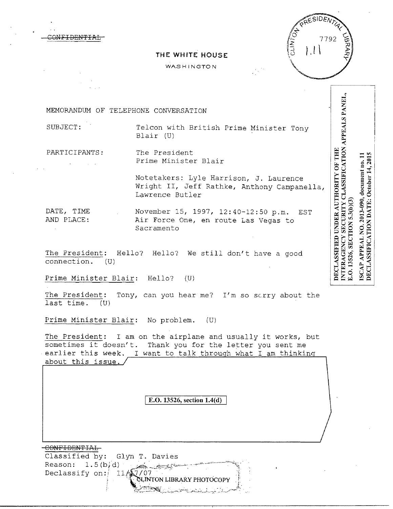CONFIDENTIAL



## **THE WHITE HOUSE**

WASHINGTON

MEMORANDUM OF TELEPHONE CONVERSATION

SUBJECT: Telcon with British Prime Minister Tony Blair (U)

PARTICIPANTS: The President

Prime Minister Blair

Notetakers: Lyle Harrison, J. Laurence Wright II, Jeff Rathke, Anthony Campanella, Lawrence Butler

DATE, TIME November 15, 1997, 12:40-12:50 p.m. EST<br>AND PLACE: Air Force One, en route Las Vegas to Air Force One, en route Las Vegas to Sacramento

The President: Hello? Hello? We still don't have a good connection. (U) connection.

Prime Minister Blair: Hello? (U)

The President: Tony, can you hear me? I'm so scrry about the last time. (U)

Prime Minister Blair: No problem. (U)

The President: I am on the airplane and usually it works, but sometimes it doesn't. Thank you for the letter you sent me earlier this week. I want to talk through what I am thinking about this issue.

J E.O. **13526, section 1.4(d)** 

CONFIDENTIAL Classified by: Glyn T. Davies Reason:  $1.5(b/d)$  $\mathscr{M} \rightarrow \mathscr{M}$ Declassify on:  $11/1$ 7/07 CLINTON LIBRARY PHOTOCOPY NTERAGENCY SECURITY CLASSIFICATION APPEALS PANEL, DECLASSIFICATION DATE: October 14, 2015 NO. 2013-090, document no. 11 E.O. 13526, SECTION 5.3(b)(3) ISCAP APPEAL

DECLASSIFIED UNDER AUTHORITY OF THE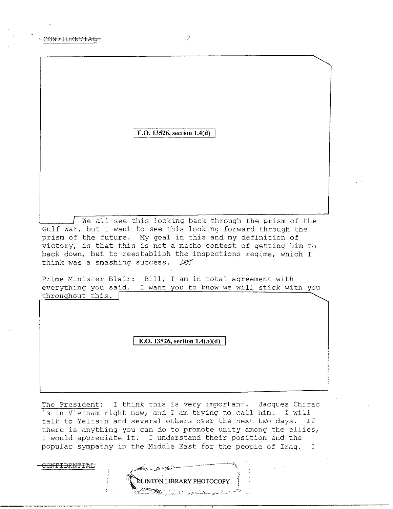**E.O. 13526, section 1.4(d)** 

We all see this looking back through the prism of the Gulf War, but I want to see this looking forward through the prism of the future. My goal in this and my definition of victory, is that this is not a macho contest of getting him to back down, but to reestablish the inspections regime, which I think was a smashing success.  $\text{IET}$ 

Prime Minister Blair: Bill, I am in total agreement with everything you said. I want you to know we will stick with you throughout this.  $\begin{bmatrix} \cdot & \cdot & \cdot \\ \cdot & \cdot & \cdot \\ \cdot & \cdot & \cdot \\ \cdot & \cdot & \cdot \end{bmatrix}$ 

E.O. 13526, section 1.4(b)(d)

The President: I think this is very important. Jacques Chirac is in Vietnam right now, and I am trying to call him. I will talk to Yeltsin and several others over the next two days. If there is anything you can do to promote unity among the allies, I would appreciate it. I understand their position and the popular sympathy in the Middle East for the people of Iraq. I

CONFIDENTIAL

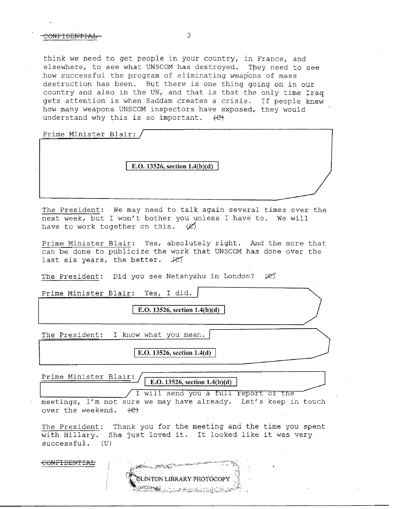## CONFIDENTIAL 3

think we need to get people in your country, in France, and elsewhere, to see what UNSCOM has destroyed. They need to see how successful the program of eliminating weap'ons of mass destruction has been. But there is one thing going on in our country and also in the UN, and that is that the only time Iraq gets attention is when Saddam creates a crisis. If people knew how many weapons UNSCOM inspectors have exposed, they would understand why this is so important.  $\leftarrow$ 

Prime Minister Blair:

**E.O. 13526, section 1.4(b)(d)** 

The President: We may need to talk again several times over the next week, but I won't bother you unless I have to. We will have to work together on this.  $\emptyset$ 

Prime Minister Blair: Yes, absolutely right. And the more that can be done to publicize the work that UNSCOM has done over the last six years, the better.  $\angle$ es

The President: Did you see Netanyahu in London? (e)

Prime Minister Blair: Yes, I did.

E.O. 13526, section 1.4(b)(d)

The President: I know what you mean.

| E.O. 13526, section **1.4(d)** 

Prime Minister Blair:

E.O. 13526, section  $1.4(b)(d)$ 

I will send you a full report of the

meetings, I'm not sure we may have already. Let's keep in touch over the weekend.  $\leftarrow$ 

The President: Thank you for the meeting and the time you spent with Hillary. She just loved it. It looked like it was very successful. (U)

CONFIDENTIAL

LINTON LIBRARY PHOTOCOPY